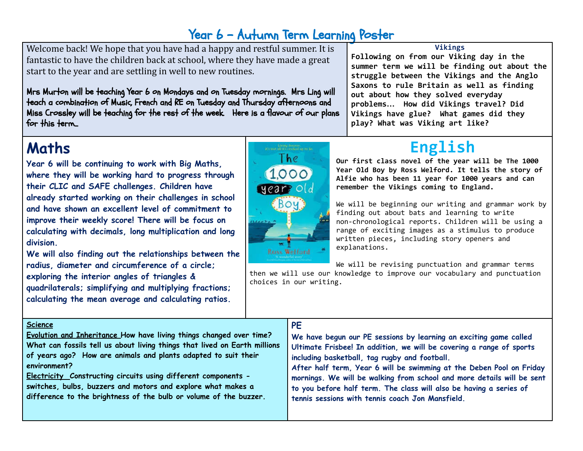## Year 6 - Autumn Term Learning Poster

Welcome back! We hope that you have had a happy and restful summer. It is fantastic to have the children back at school, where they have made a great start to the year and are settling in well to new routines.

Mrs Murton will be teaching Year 6 on Mondays and on Tuesday mornings. Mrs Ling will teach a combination of Music, French and RE on Tuesday and Thursday afternoons and Miss Crossley will be teaching for the rest of the week. Here is a flavour of our plans for this term...

# **Maths**

**Year 6 will be continuing to work with Big Maths, where they will be working hard to progress through their CLIC and SAFE challenges. Children have already started working on their challenges in school and have shown an excellent level of commitment to improve their weekly score! There will be focus on calculating with decimals, long multiplication and long division.**

**We will also finding out the relationships between the radius, diameter and circumference of a circle; exploring the interior angles of triangles & quadrilaterals; simplifying and multiplying fractions; calculating the mean average and calculating ratios.**

### **Science**

**Evolution and Inheritance How have living things changed over time? What can fossils tell us about living things that lived on Earth millions of years ago? How are animals and plants adapted to suit their environment?**

**Electricity Constructing circuits using different components switches, bulbs, buzzers and motors and explore what makes a difference to the brightness of the bulb or volume of the buzzer.**

### **PE**

**We have begun our PE sessions by learning an exciting game called Ultimate Frisbee! In addition, we will be covering a range of sports including basketball, tag rugby and football.**

**After half term, Year 6 will be swimming at the Deben Pool on Friday mornings. We will be walking from school and more details will be sent to you before half term. The class will also be having a series of tennis sessions with tennis coach Jon Mansfield.**

# **English**

**out about how they solved everyday problems… How did Vikings travel? Did Vikings have glue? What games did they**

**play? What was Viking art like?**

**Our first class novel of the year will be The 1000 Year Old Boy by Ross Welford. It tells the story of Alfie who has been 11 year for 1000 years and can remember the Vikings coming to England.**

We will be beginning our writing and grammar work by finding out about bats and learning to write non-chronological reports. Children will be using a range of exciting images as a stimulus to produce written pieces, including story openers and explanations.

We will be revising punctuation and grammar terms

then we will use our knowledge to improve our vocabulary and punctuation choices in our writing.



#### **Vikings Following on from our Viking day in the**

**summer term we will be finding out about the struggle between the Vikings and the Anglo Saxons to rule Britain as well as finding**